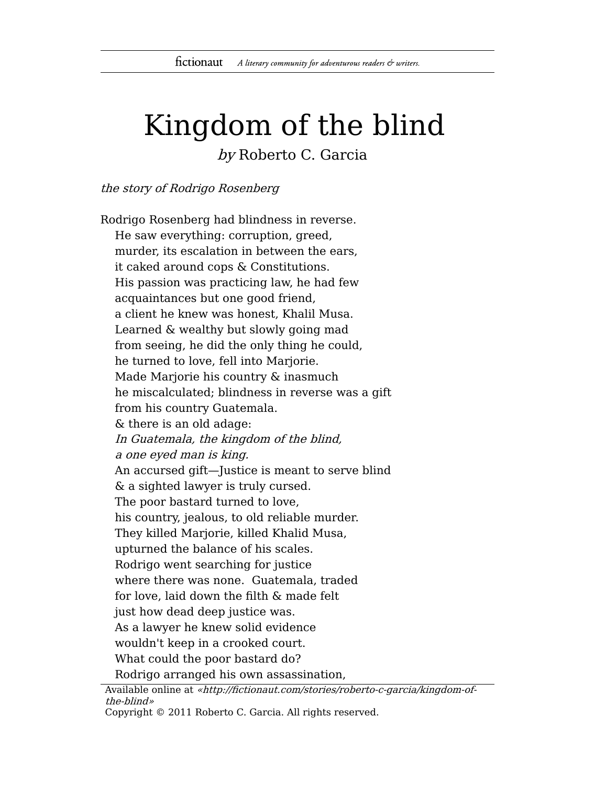## Kingdom of the blind

by Roberto C. Garcia

the story of Rodrigo Rosenberg

Rodrigo Rosenberg had blindness in reverse. He saw everything: corruption, greed, murder, its escalation in between the ears, it caked around cops & Constitutions. His passion was practicing law, he had few acquaintances but one good friend, a client he knew was honest, Khalil Musa. Learned & wealthy but slowly going mad from seeing, he did the only thing he could, he turned to love, fell into Marjorie. Made Marjorie his country & inasmuch he miscalculated; blindness in reverse was a gift from his country Guatemala. & there is an old adage: In Guatemala, the kingdom of the blind, a one eyed man is king. An accursed gift—Justice is meant to serve blind & a sighted lawyer is truly cursed. The poor bastard turned to love, his country, jealous, to old reliable murder. They killed Marjorie, killed Khalid Musa, upturned the balance of his scales. Rodrigo went searching for justice where there was none. Guatemala, traded for love, laid down the filth & made felt just how dead deep justice was. As a lawyer he knew solid evidence wouldn't keep in a crooked court. What could the poor bastard do? Rodrigo arranged his own assassination,

Available online at «http://fictionaut.com/stories/roberto-c-garcia/kingdom-ofthe-blind» Copyright © 2011 Roberto C. Garcia. All rights reserved.